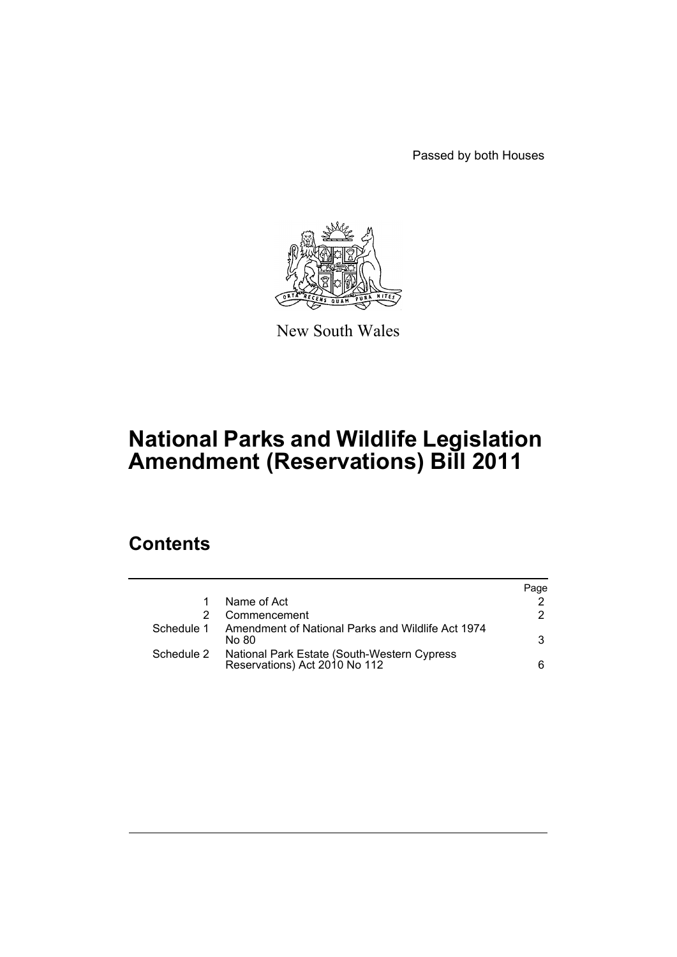Passed by both Houses



New South Wales

# **National Parks and Wildlife Legislation Amendment (Reservations) Bill 2011**

# **Contents**

|            |                                                                              | Page |
|------------|------------------------------------------------------------------------------|------|
|            | Name of Act                                                                  |      |
|            | Commencement                                                                 | 2    |
| Schedule 1 | Amendment of National Parks and Wildlife Act 1974<br>No 80                   | 3    |
| Schedule 2 | National Park Estate (South-Western Cypress<br>Reservations) Act 2010 No 112 | 6    |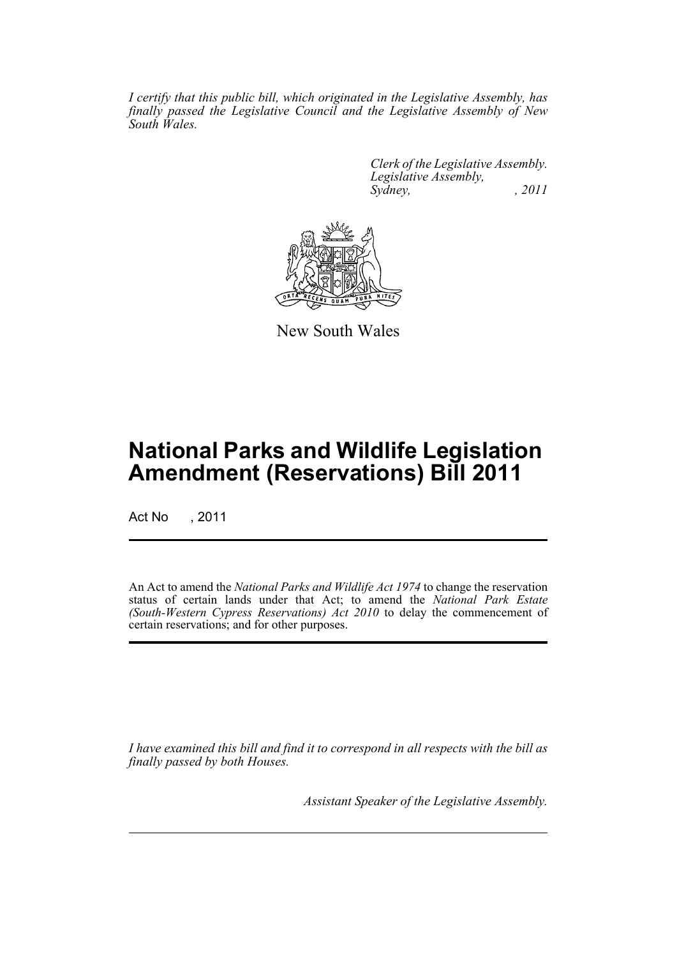*I certify that this public bill, which originated in the Legislative Assembly, has finally passed the Legislative Council and the Legislative Assembly of New South Wales.*

> *Clerk of the Legislative Assembly. Legislative Assembly, Sydney, , 2011*



New South Wales

# **National Parks and Wildlife Legislation Amendment (Reservations) Bill 2011**

Act No , 2011

An Act to amend the *National Parks and Wildlife Act 1974* to change the reservation status of certain lands under that Act; to amend the *National Park Estate (South-Western Cypress Reservations) Act 2010* to delay the commencement of certain reservations; and for other purposes.

*I have examined this bill and find it to correspond in all respects with the bill as finally passed by both Houses.*

*Assistant Speaker of the Legislative Assembly.*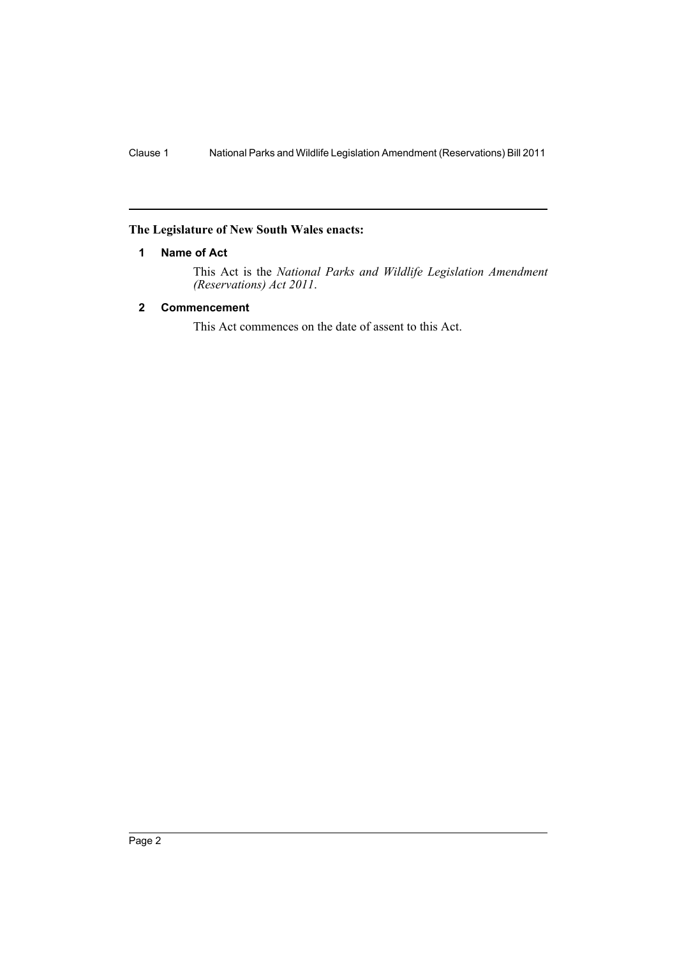## <span id="page-2-0"></span>**The Legislature of New South Wales enacts:**

## **1 Name of Act**

This Act is the *National Parks and Wildlife Legislation Amendment (Reservations) Act 2011*.

# <span id="page-2-1"></span>**2 Commencement**

This Act commences on the date of assent to this Act.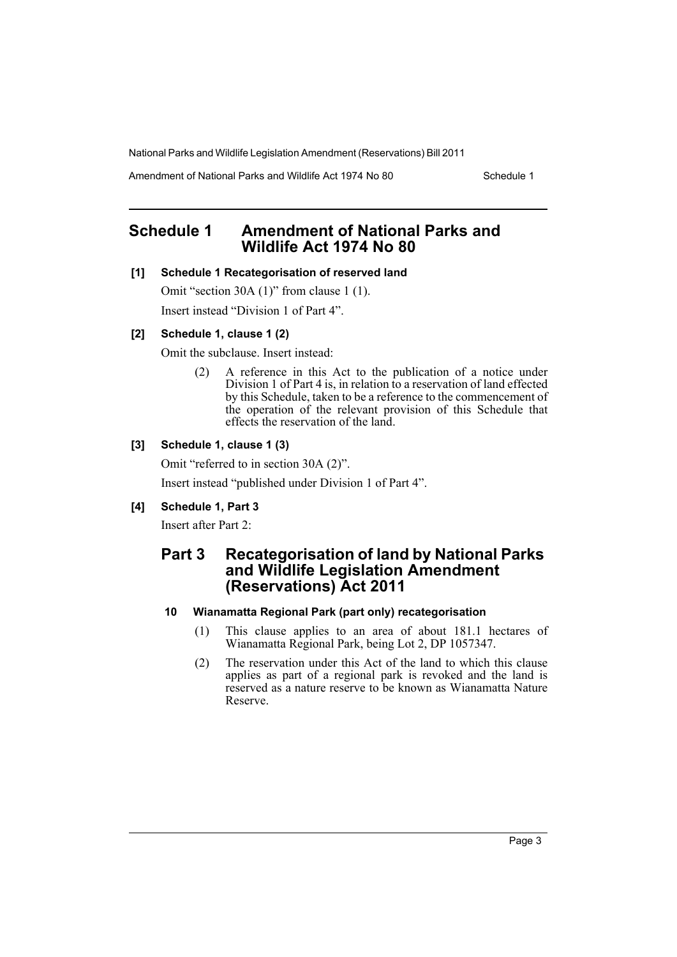Amendment of National Parks and Wildlife Act 1974 No 80 Schedule 1

# <span id="page-3-0"></span>**Schedule 1 Amendment of National Parks and Wildlife Act 1974 No 80**

#### **[1] Schedule 1 Recategorisation of reserved land**

Omit "section 30A (1)" from clause 1 (1). Insert instead "Division 1 of Part 4".

#### **[2] Schedule 1, clause 1 (2)**

Omit the subclause. Insert instead:

(2) A reference in this Act to the publication of a notice under Division 1 of Part 4 is, in relation to a reservation of land effected by this Schedule, taken to be a reference to the commencement of the operation of the relevant provision of this Schedule that effects the reservation of the land.

## **[3] Schedule 1, clause 1 (3)**

Omit "referred to in section 30A (2)".

Insert instead "published under Division 1 of Part 4".

#### **[4] Schedule 1, Part 3**

Insert after Part 2:

# **Part 3 Recategorisation of land by National Parks and Wildlife Legislation Amendment (Reservations) Act 2011**

#### **10 Wianamatta Regional Park (part only) recategorisation**

- (1) This clause applies to an area of about 181.1 hectares of Wianamatta Regional Park, being Lot 2, DP 1057347.
- (2) The reservation under this Act of the land to which this clause applies as part of a regional park is revoked and the land is reserved as a nature reserve to be known as Wianamatta Nature Reserve.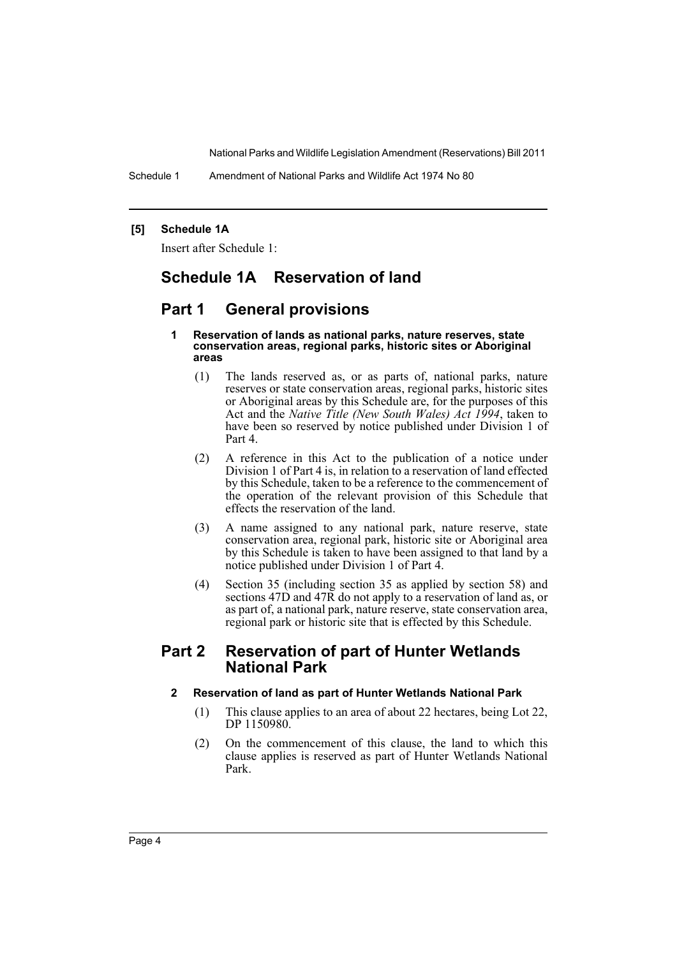Schedule 1 Amendment of National Parks and Wildlife Act 1974 No 80

## **[5] Schedule 1A**

Insert after Schedule 1:

# **Schedule 1A Reservation of land**

# **Part 1 General provisions**

#### **1 Reservation of lands as national parks, nature reserves, state conservation areas, regional parks, historic sites or Aboriginal areas**

- (1) The lands reserved as, or as parts of, national parks, nature reserves or state conservation areas, regional parks, historic sites or Aboriginal areas by this Schedule are, for the purposes of this Act and the *Native Title (New South Wales) Act 1994*, taken to have been so reserved by notice published under Division 1 of Part 4.
- (2) A reference in this Act to the publication of a notice under Division 1 of Part 4 is, in relation to a reservation of land effected by this Schedule, taken to be a reference to the commencement of the operation of the relevant provision of this Schedule that effects the reservation of the land.
- (3) A name assigned to any national park, nature reserve, state conservation area, regional park, historic site or Aboriginal area by this Schedule is taken to have been assigned to that land by a notice published under Division 1 of Part 4.
- (4) Section 35 (including section 35 as applied by section 58) and sections 47D and 47R do not apply to a reservation of land as, or as part of, a national park, nature reserve, state conservation area, regional park or historic site that is effected by this Schedule.

# **Part 2 Reservation of part of Hunter Wetlands National Park**

#### **2 Reservation of land as part of Hunter Wetlands National Park**

- (1) This clause applies to an area of about 22 hectares, being Lot 22, DP 1150980.
- (2) On the commencement of this clause, the land to which this clause applies is reserved as part of Hunter Wetlands National Park.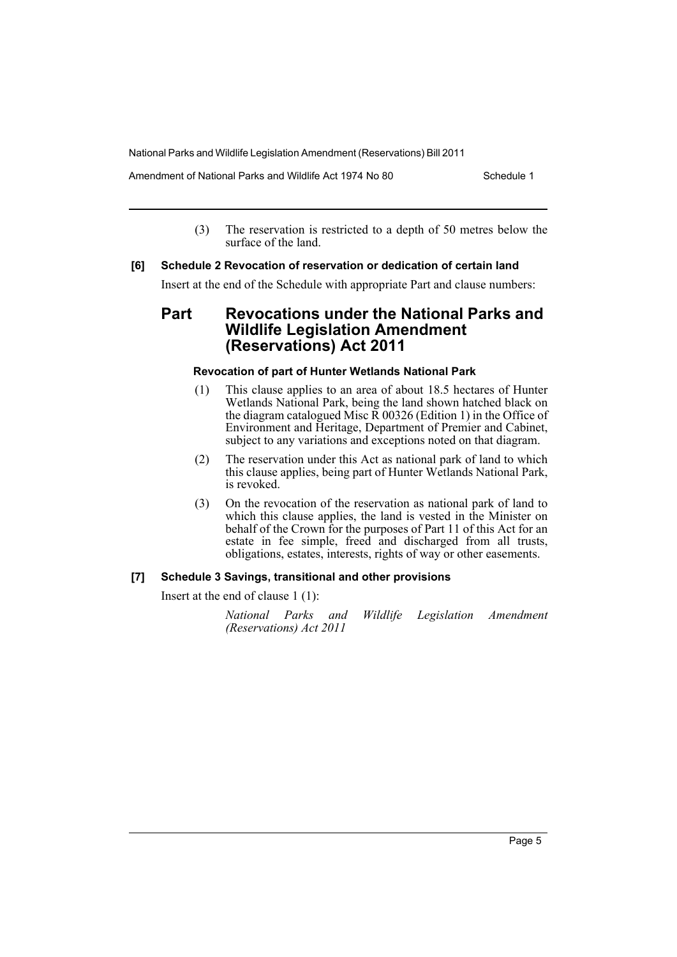Amendment of National Parks and Wildlife Act 1974 No 80 Schedule 1

(3) The reservation is restricted to a depth of 50 metres below the surface of the land.

#### **[6] Schedule 2 Revocation of reservation or dedication of certain land**

Insert at the end of the Schedule with appropriate Part and clause numbers:

# **Part Revocations under the National Parks and Wildlife Legislation Amendment (Reservations) Act 2011**

## **Revocation of part of Hunter Wetlands National Park**

- (1) This clause applies to an area of about 18.5 hectares of Hunter Wetlands National Park, being the land shown hatched black on the diagram catalogued Misc R 00326 (Edition 1) in the Office of Environment and Heritage, Department of Premier and Cabinet, subject to any variations and exceptions noted on that diagram.
- (2) The reservation under this Act as national park of land to which this clause applies, being part of Hunter Wetlands National Park, is revoked.
- (3) On the revocation of the reservation as national park of land to which this clause applies, the land is vested in the Minister on behalf of the Crown for the purposes of Part 11 of this Act for an estate in fee simple, freed and discharged from all trusts, obligations, estates, interests, rights of way or other easements.

## **[7] Schedule 3 Savings, transitional and other provisions**

Insert at the end of clause 1 (1):

*National Parks and Wildlife Legislation Amendment (Reservations) Act 2011*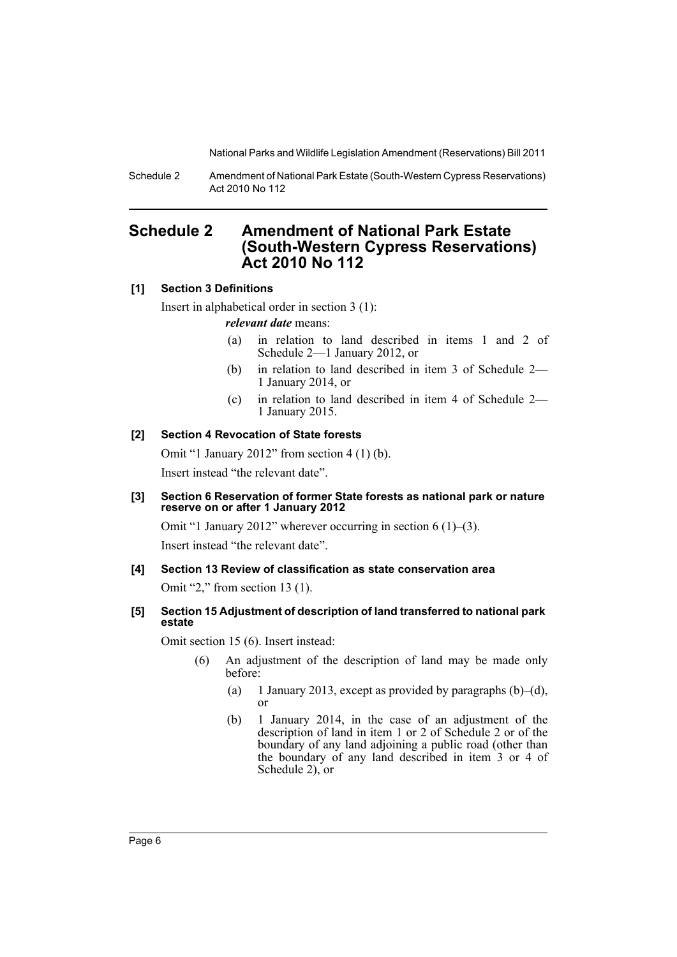Schedule 2 Amendment of National Park Estate (South-Western Cypress Reservations) Act 2010 No 112

# <span id="page-6-0"></span>**Schedule 2 Amendment of National Park Estate (South-Western Cypress Reservations) Act 2010 No 112**

#### **[1] Section 3 Definitions**

Insert in alphabetical order in section 3 (1):

*relevant date* means:

- (a) in relation to land described in items 1 and 2 of Schedule 2—1 January 2012, or
- (b) in relation to land described in item 3 of Schedule 2— 1 January 2014, or
- (c) in relation to land described in item 4 of Schedule 2— 1 January 2015.

#### **[2] Section 4 Revocation of State forests**

Omit "1 January 2012" from section 4 (1) (b).

Insert instead "the relevant date".

#### **[3] Section 6 Reservation of former State forests as national park or nature reserve on or after 1 January 2012**

Omit "1 January 2012" wherever occurring in section 6 (1)–(3).

Insert instead "the relevant date".

## **[4] Section 13 Review of classification as state conservation area**

Omit "2," from section 13 (1).

#### **[5] Section 15 Adjustment of description of land transferred to national park estate**

Omit section 15 (6). Insert instead:

- (6) An adjustment of the description of land may be made only before:
	- (a) 1 January 2013, except as provided by paragraphs  $(b)$ –(d), or
	- (b) 1 January 2014, in the case of an adjustment of the description of land in item 1 or 2 of Schedule 2 or of the boundary of any land adjoining a public road (other than the boundary of any land described in item 3 or 4 of Schedule 2), or